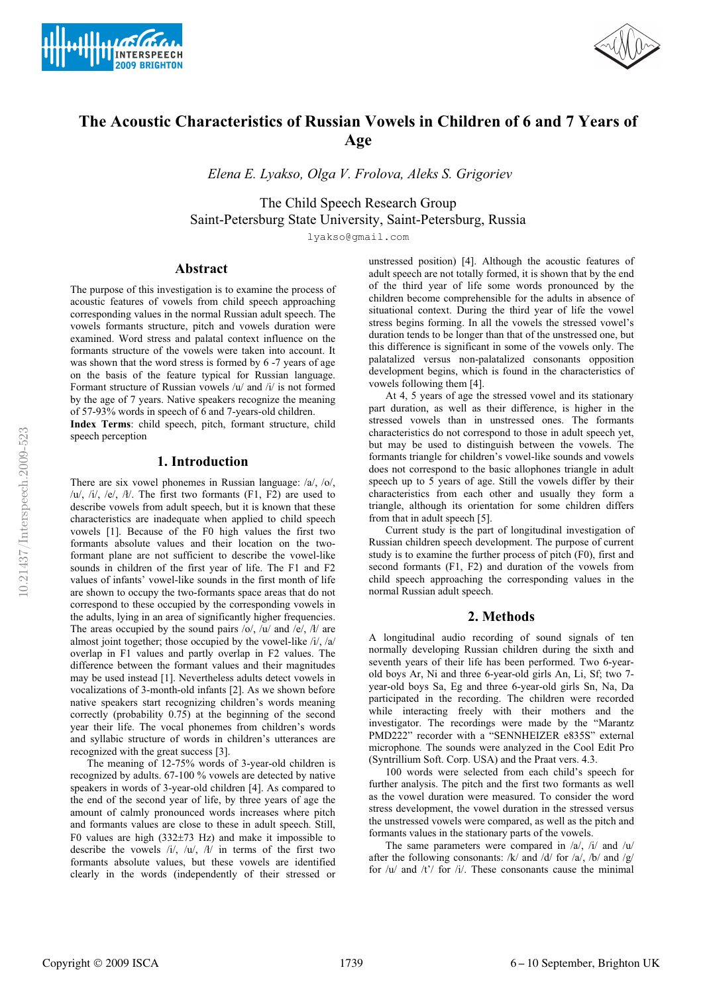



# **The Acoustic Characteristics of Russian Vowels in Children of 6 and 7 Years of Age**

 *Elena E. Lyakso, Olga V. Frolova, Aleks S. Grigoriev* 

The Child Speech Research Group Saint-Petersburg State University, Saint-Petersburg, Russia

lyakso@gmail.com

## **Abstract**

The purpose of this investigation is to examine the process of acoustic features of vowels from child speech approaching corresponding values in the normal Russian adult speech. The vowels formants structure, pitch and vowels duration were examined. Word stress and palatal context influence on the formants structure of the vowels were taken into account. It was shown that the word stress is formed by 6 -7 years of age on the basis of the feature typical for Russian language. Formant structure of Russian vowels /u/ and /i/ is not formed by the age of 7 years. Native speakers recognize the meaning of 57-93% words in speech of 6 and 7-years-old children.

**Index Terms**: child speech, pitch, formant structure, child speech perception

## **1. Introduction**

There are six vowel phonemes in Russian language: /a/, /o/,  $\langle u, i \rangle$ ,  $\langle e, k \rangle$ . The first two formants (F1, F2) are used to describe vowels from adult speech, but it is known that these characteristics are inadequate when applied to child speech vowels [1]. Because of the F0 high values the first two formants absolute values and their location on the twoformant plane are not sufficient to describe the vowel-like sounds in children of the first year of life. The F1 and F2 values of infants' vowel-like sounds in the first month of life are shown to occupy the two-formants space areas that do not correspond to these occupied by the corresponding vowels in the adults, lying in an area of significantly higher frequencies. The areas occupied by the sound pairs  $\langle \text{o}, \text{a} \rangle$  and  $\langle \text{e}, \text{a} \rangle$  are almost joint together; those occupied by the vowel-like /i/, /a/ overlap in F1 values and partly overlap in F2 values. The difference between the formant values and their magnitudes may be used instead [1]. Nevertheless adults detect vowels in vocalizations of 3-month-old infants [2]. As we shown before native speakers start recognizing children's words meaning correctly (probability 0.75) at the beginning of the second year their life. The vocal phonemes from children's words and syllabic structure of words in children's utterances are recognized with the great success [3].

The meaning of 12-75% words of 3-year-old children is recognized by adults. 67-100 % vowels are detected by native speakers in words of 3-year-old children [4]. As compared to the end of the second year of life, by three years of age the amount of calmly pronounced words increases where pitch and formants values are close to these in adult speech. Still, F0 values are high (332±73 Hz) and make it impossible to describe the vowels  $/i/$ ,  $/u/$ ,  $/l/$  in terms of the first two formants absolute values, but these vowels are identified clearly in the words (independently of their stressed or

unstressed position) [4]. Although the acoustic features of adult speech are not totally formed, it is shown that by the end of the third year of life some words pronounced by the children become comprehensible for the adults in absence of situational context. During the third year of life the vowel stress begins forming. In all the vowels the stressed vowel's duration tends to be longer than that of the unstressed one, but this difference is significant in some of the vowels only. The palatalized versus non-palatalized consonants opposition development begins, which is found in the characteristics of vowels following them [4].

At 4, 5 years of age the stressed vowel and its stationary part duration, as well as their difference, is higher in the stressed vowels than in unstressed ones. The formants characteristics do not correspond to those in adult speech yet, but may be used to distinguish between the vowels. The formants triangle for children's vowel-like sounds and vowels does not correspond to the basic allophones triangle in adult speech up to 5 years of age. Still the vowels differ by their characteristics from each other and usually they form a triangle, although its orientation for some children differs from that in adult speech [5].

Current study is the part of longitudinal investigation of Russian children speech development. The purpose of current study is to examine the further process of pitch (F0), first and second formants (F1, F2) and duration of the vowels from child speech approaching the corresponding values in the normal Russian adult speech.

## **2. Methods**

A longitudinal audio recording of sound signals of ten normally developing Russian children during the sixth and seventh years of their life has been performed. Two 6-yearold boys Ar, Ni and three 6-year-old girls An, Li, Sf; two 7 year-old boys Sa, Eg and three 6-year-old girls Sn, Na, Da participated in the recording. The children were recorded while interacting freely with their mothers and the investigator. The recordings were made by the "Marantz PMD222" recorder with a "SENNHEIZER e835S" external microphone*.* The sounds were analyzed in the Cool Edit Pro (Syntrillium Soft. Corp. USA) and the Praat vers. 4.3.

100 words were selected from each child's speech for further analysis. The pitch and the first two formants as well as the vowel duration were measured. To consider the word stress development, the vowel duration in the stressed versus the unstressed vowels were compared, as well as the pitch and formants values in the stationary parts of the vowels.

The same parameters were compared in  $/a$ ,  $/i$  and  $/u$ after the following consonants: /k/ and /d/ for /a/, /b/ and /g/ for  $/u$  and  $/t$ <sup> $\prime$ </sup> for  $/i$ . These consonants cause the minimal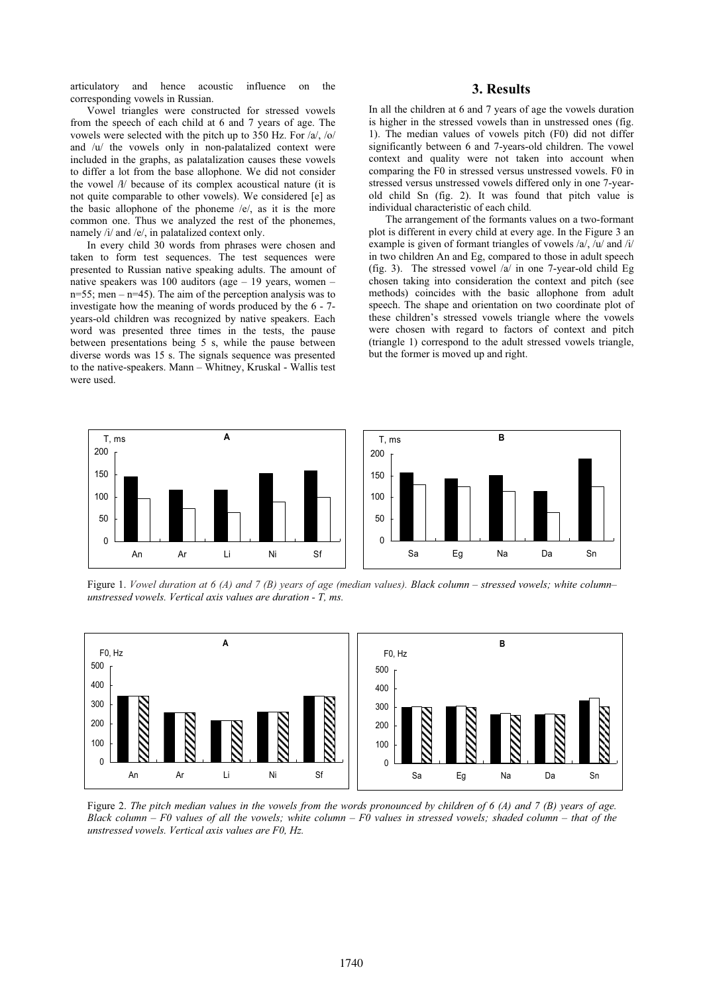articulatory and hence acoustic influence on the corresponding vowels in Russian.

#### **3. Results**

Vowel triangles were constructed for stressed vowels from the speech of each child at 6 and 7 years of age. The vowels were selected with the pitch up to 350 Hz. For /a/, /o/ and /u/ the vowels only in non-palatalized context were included in the graphs, as palatalization causes these vowels to differ a lot from the base allophone. We did not consider the vowel  $\Lambda$  because of its complex acoustical nature (it is not quite comparable to other vowels). We considered [e] as the basic allophone of the phoneme /e/, as it is the more common one. Thus we analyzed the rest of the phonemes, namely /i/ and /e/, in palatalized context only.

In every child 30 words from phrases were chosen and taken to form test sequences. The test sequences were presented to Russian native speaking adults. The amount of native speakers was 100 auditors (age – 19 years, women –  $n=55$ ; men –  $n=45$ ). The aim of the perception analysis was to investigate how the meaning of words produced by the 6 - 7 years-old children was recognized by native speakers. Each word was presented three times in the tests, the pause between presentations being 5 s, while the pause between diverse words was 15 s. The signals sequence was presented to the native-speakers. Mann – Whitney, Kruskal - Wallis test were used.

In all the children at 6 and 7 years of age the vowels duration is higher in the stressed vowels than in unstressed ones (fig. 1). The median values of vowels pitch (F0) did not differ significantly between 6 and 7-years-old children. The vowel context and quality were not taken into account when comparing the F0 in stressed versus unstressed vowels. F0 in stressed versus unstressed vowels differed only in one 7-yearold child Sn (fig. 2). It was found that pitch value is individual characteristic of each child.

The arrangement of the formants values on a two-formant plot is different in every child at every age. In the Figure 3 an example is given of formant triangles of vowels /a/, /u/ and /i/ in two children An and Eg, compared to those in adult speech (fig. 3). The stressed vowel /a/ in one 7-year-old child Eg chosen taking into consideration the context and pitch (see methods) coincides with the basic allophone from adult speech. The shape and orientation on two coordinate plot of these children's stressed vowels triangle where the vowels were chosen with regard to factors of context and pitch (triangle 1) correspond to the adult stressed vowels triangle, but the former is moved up and right.



Figure 1. *Vowel duration at 6 (A) and 7 (B) years of age (median values). Black column – stressed vowels; white column– unstressed vowels. Vertical axis values are duration - T, ms.* 



Figure 2. *The pitch median values in the vowels from the words pronounced by children of 6 (A) and 7 (B) years of age. Black column – F0 values of all the vowels; white column – F0 values in stressed vowels; shaded column – that of the unstressed vowels. Vertical axis values are F0, Hz.*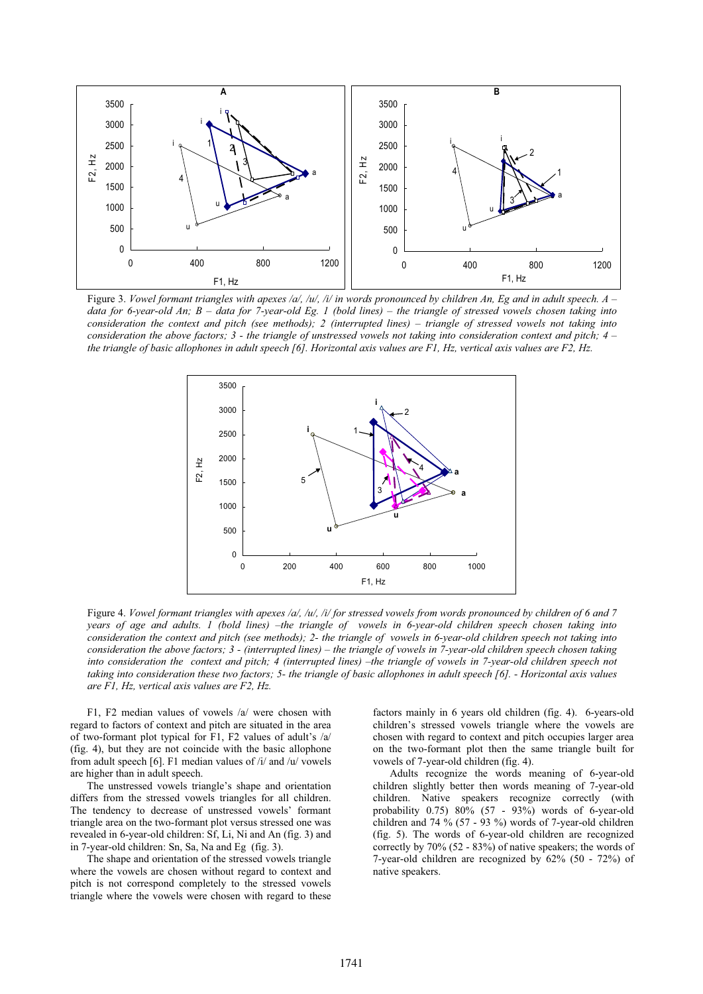

Figure 3. *Vowel formant triangles with apexes /a/, /u/, /i/ in words pronounced by children An, Eg and in adult speech. A – data for 6-year-old An; B – data for 7-year-old Eg. 1 (bold lines) – the triangle of stressed vowels chosen taking into consideration the context and pitch (see methods); 2 (interrupted lines) – triangle of stressed vowels not taking into consideration the above factors; 3 - the triangle of unstressed vowels not taking into consideration context and pitch; 4 – the triangle of basic allophones in adult speech [6]. Horizontal axis values are F1, Hz, vertical axis values are F2, Hz.* 



Figure 4. *Vowel formant triangles with apexes /a/, /u/, /i/ for stressed vowels from words pronounced by children of 6 and 7 years of age and adults. 1 (bold lines) –the triangle of vowels in 6-year-old children speech chosen taking into consideration the context and pitch (see methods); 2- the triangle of vowels in 6-year-old children speech not taking into consideration the above factors; 3 - (interrupted lines) – the triangle of vowels in 7-year-old children speech chosen taking into consideration the context and pitch; 4 (interrupted lines) –the triangle of vowels in 7-year-old children speech not taking into consideration these two factors; 5- the triangle of basic allophones in adult speech [6]. - Horizontal axis values are F1, Hz, vertical axis values are F2, Hz.*

F1, F2 median values of vowels /a/ were chosen with regard to factors of context and pitch are situated in the area of two-formant plot typical for F1, F2 values of adult's /a/ (fig. 4), but they are not coincide with the basic allophone from adult speech [6]. F1 median values of /i/ and /u/ vowels are higher than in adult speech.

The unstressed vowels triangle's shape and orientation differs from the stressed vowels triangles for all children. The tendency to decrease of unstressed vowels' formant triangle area on the two-formant plot versus stressed one was revealed in 6-year-old children: Sf, Li, Ni and An (fig. 3) and in 7-year-old children: Sn, Sa, Na and Eg (fig. 3).

The shape and orientation of the stressed vowels triangle where the vowels are chosen without regard to context and pitch is not correspond completely to the stressed vowels triangle where the vowels were chosen with regard to these

factors mainly in 6 years old children (fig. 4). 6-years-old children's stressed vowels triangle where the vowels are chosen with regard to context and pitch occupies larger area on the two-formant plot then the same triangle built for vowels of 7-year-old children (fig. 4).

Adults recognize the words meaning of 6-year-old children slightly better then words meaning of 7-year-old children. Native speakers recognize correctly (with probability  $0.75$ )  $80\%$   $(57 - 93\%)$  words of 6-year-old children and 74 % (57 - 93 %) words of 7-year-old children (fig. 5). The words of 6-year-old children are recognized correctly by 70% (52 - 83%) of native speakers; the words of 7-year-old children are recognized by 62% (50 - 72%) of native speakers.